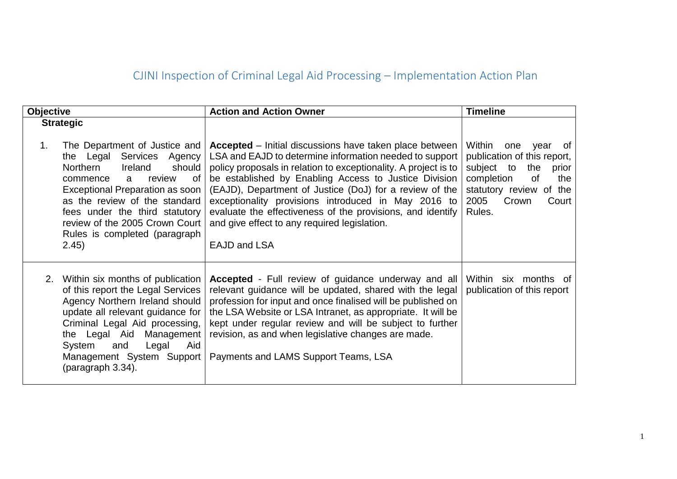## CJINI Inspection of Criminal Legal Aid Processing – Implementation Action Plan

| <b>Objective</b> |                                                                                                                                                                                                                                                                                                                                        | <b>Action and Action Owner</b>                                                                                                                                                                                                                                                                                                                                                                                                                                                                        | <b>Timeline</b>                                                                                                                                                                 |
|------------------|----------------------------------------------------------------------------------------------------------------------------------------------------------------------------------------------------------------------------------------------------------------------------------------------------------------------------------------|-------------------------------------------------------------------------------------------------------------------------------------------------------------------------------------------------------------------------------------------------------------------------------------------------------------------------------------------------------------------------------------------------------------------------------------------------------------------------------------------------------|---------------------------------------------------------------------------------------------------------------------------------------------------------------------------------|
| 1.               | <b>Strategic</b><br>The Department of Justice and<br>Services Agency<br>the Legal<br>should<br>Northern<br>Ireland<br>review<br>0f<br>commence<br>a<br>Exceptional Preparation as soon<br>as the review of the standard<br>fees under the third statutory<br>review of the 2005 Crown Court<br>Rules is completed (paragraph)<br>2.45) | <b>Accepted</b> – Initial discussions have taken place between<br>LSA and EAJD to determine information needed to support<br>policy proposals in relation to exceptionality. A project is to<br>be established by Enabling Access to Justice Division<br>(EAJD), Department of Justice (DoJ) for a review of the<br>exceptionality provisions introduced in May 2016 to<br>evaluate the effectiveness of the provisions, and identify<br>and give effect to any required legislation.<br>EAJD and LSA | Within<br>one year<br>of<br>publication of this report,<br>subject to<br>the<br>prior<br>completion<br>0f<br>the<br>statutory review of the<br>2005<br>Crown<br>Court<br>Rules. |
|                  | 2. Within six months of publication<br>of this report the Legal Services<br>Agency Northern Ireland should<br>update all relevant guidance for<br>Criminal Legal Aid processing,<br>the Legal Aid Management<br>Aid<br>and<br>Legal<br>System<br>Management System Support<br>(paragraph 3.34).                                        | <b>Accepted</b> - Full review of guidance underway and all<br>relevant guidance will be updated, shared with the legal<br>profession for input and once finalised will be published on<br>the LSA Website or LSA Intranet, as appropriate. It will be<br>kept under regular review and will be subject to further<br>revision, as and when legislative changes are made.<br>Payments and LAMS Support Teams, LSA                                                                                      | Within six months of<br>publication of this report                                                                                                                              |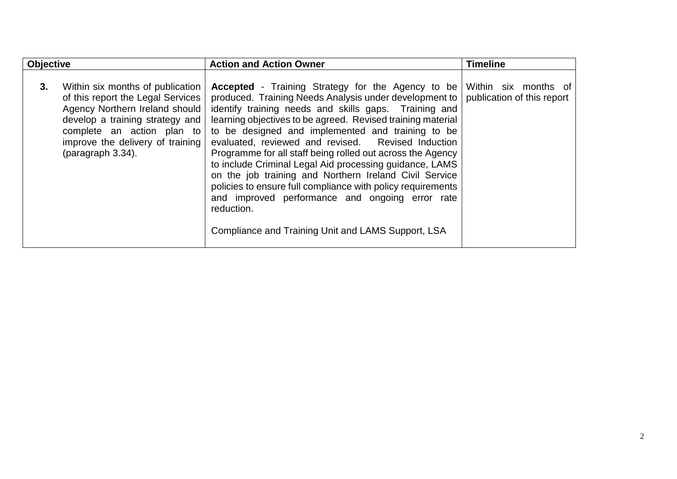| <b>Objective</b> |                                                                                                                                                                                                                                   | <b>Action and Action Owner</b>                                                                                                                                                                                                                                                                                                                                                                                                                                                                                                                                                                                                                                                                                                 | <b>Timeline</b>                                    |
|------------------|-----------------------------------------------------------------------------------------------------------------------------------------------------------------------------------------------------------------------------------|--------------------------------------------------------------------------------------------------------------------------------------------------------------------------------------------------------------------------------------------------------------------------------------------------------------------------------------------------------------------------------------------------------------------------------------------------------------------------------------------------------------------------------------------------------------------------------------------------------------------------------------------------------------------------------------------------------------------------------|----------------------------------------------------|
| 3.               | Within six months of publication<br>of this report the Legal Services<br>Agency Northern Ireland should<br>develop a training strategy and<br>complete an action plan to<br>improve the delivery of training<br>(paragraph 3.34). | <b>Accepted</b> - Training Strategy for the Agency to be<br>produced. Training Needs Analysis under development to<br>identify training needs and skills gaps. Training and<br>learning objectives to be agreed. Revised training material<br>to be designed and implemented and training to be<br>evaluated, reviewed and revised. Revised Induction<br>Programme for all staff being rolled out across the Agency<br>to include Criminal Legal Aid processing guidance, LAMS<br>on the job training and Northern Ireland Civil Service<br>policies to ensure full compliance with policy requirements<br>and improved performance and ongoing error rate<br>reduction.<br>Compliance and Training Unit and LAMS Support, LSA | Within six months of<br>publication of this report |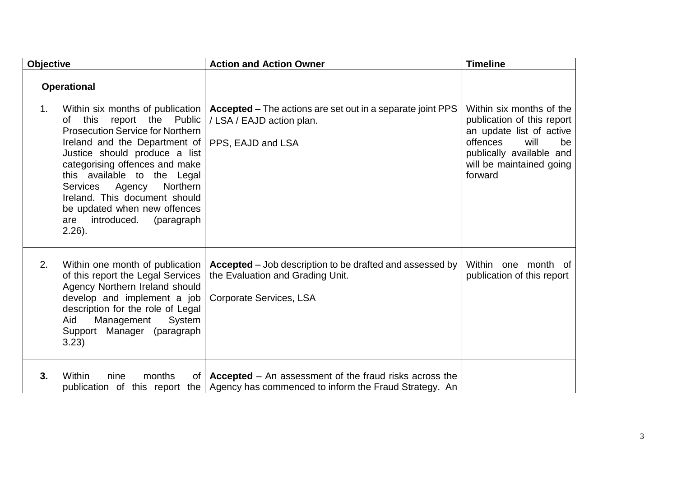| <b>Objective</b> |                                                                                                                                                                                                                                                                                                                                                                                                                                          | <b>Action and Action Owner</b>                                                                                                          | <b>Timeline</b>                                                                                                                                                                 |
|------------------|------------------------------------------------------------------------------------------------------------------------------------------------------------------------------------------------------------------------------------------------------------------------------------------------------------------------------------------------------------------------------------------------------------------------------------------|-----------------------------------------------------------------------------------------------------------------------------------------|---------------------------------------------------------------------------------------------------------------------------------------------------------------------------------|
| 1.               | <b>Operational</b><br>Within six months of publication<br>the<br>Public<br>this<br>report<br>Ωf<br><b>Prosecution Service for Northern</b><br>Ireland and the Department of<br>Justice should produce a list<br>categorising offences and make<br>this available to the Legal<br>Northern<br><b>Services</b><br>Agency<br>Ireland. This document should<br>be updated when new offences<br>introduced.<br>(paragraph<br>are<br>$2.26$ ). | <b>Accepted</b> – The actions are set out in a separate joint PPS<br>/ LSA / EAJD action plan.<br>PPS, EAJD and LSA                     | Within six months of the<br>publication of this report<br>an update list of active<br>offences<br>will<br>be<br>publically available and<br>will be maintained going<br>forward |
| 2.               | Within one month of publication<br>of this report the Legal Services<br>Agency Northern Ireland should<br>develop and implement a job<br>description for the role of Legal<br>Aid<br>Management<br>System<br>Support Manager (paragraph<br>3.23)                                                                                                                                                                                         | <b>Accepted</b> – Job description to be drafted and assessed by<br>the Evaluation and Grading Unit.<br>Corporate Services, LSA          | Within<br>one month of<br>publication of this report                                                                                                                            |
| 3.               | Within<br>months<br>nine<br>publication of this report                                                                                                                                                                                                                                                                                                                                                                                   | of $\vert$ <b>Accepted</b> – An assessment of the fraud risks across the<br>the   Agency has commenced to inform the Fraud Strategy. An |                                                                                                                                                                                 |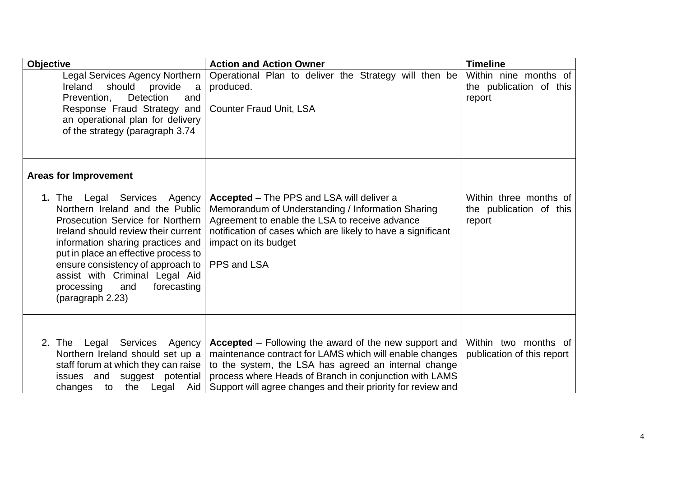| <b>Objective</b>                                                                                                                                                                                                                                                                                                                                                 | <b>Action and Action Owner</b>                                                                                                                                                                                                                                                                            | <b>Timeline</b>                                             |
|------------------------------------------------------------------------------------------------------------------------------------------------------------------------------------------------------------------------------------------------------------------------------------------------------------------------------------------------------------------|-----------------------------------------------------------------------------------------------------------------------------------------------------------------------------------------------------------------------------------------------------------------------------------------------------------|-------------------------------------------------------------|
| <b>Legal Services Agency Northern</b><br>Ireland<br>should provide<br>a<br>Detection<br>Prevention,<br>and<br>Response Fraud Strategy and<br>an operational plan for delivery<br>of the strategy (paragraph 3.74                                                                                                                                                 | Operational Plan to deliver the Strategy will then be<br>produced.<br><b>Counter Fraud Unit, LSA</b>                                                                                                                                                                                                      | Within nine months of<br>the publication of this<br>report  |
| <b>Areas for Improvement</b>                                                                                                                                                                                                                                                                                                                                     |                                                                                                                                                                                                                                                                                                           |                                                             |
| <b>1. The</b><br>Legal Services Agency<br>Northern Ireland and the Public<br>Prosecution Service for Northern<br>Ireland should review their current<br>information sharing practices and<br>put in place an effective process to<br>ensure consistency of approach to<br>assist with Criminal Legal Aid<br>processing<br>and<br>forecasting<br>(paragraph 2.23) | <b>Accepted</b> – The PPS and LSA will deliver a<br>Memorandum of Understanding / Information Sharing<br>Agreement to enable the LSA to receive advance<br>notification of cases which are likely to have a significant<br>impact on its budget<br>PPS and LSA                                            | Within three months of<br>the publication of this<br>report |
| 2. The Legal Services Agency<br>Northern Ireland should set up a<br>staff forum at which they can raise<br>issues and<br>suggest potential<br>changes to<br>the<br>Legal<br>Aid                                                                                                                                                                                  | <b>Accepted</b> – Following the award of the new support and<br>maintenance contract for LAMS which will enable changes<br>to the system, the LSA has agreed an internal change<br>process where Heads of Branch in conjunction with LAMS<br>Support will agree changes and their priority for review and | Within two months of<br>publication of this report          |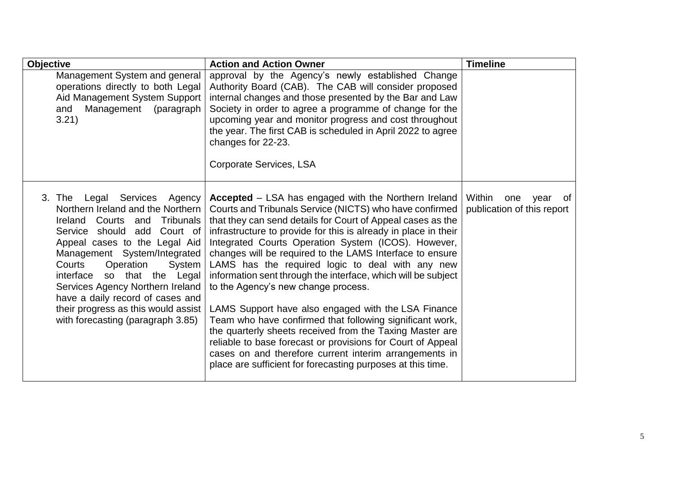| <b>Objective</b>                                                                                                                                                                                                                                                                                                                                                                                                                        | <b>Action and Action Owner</b>                                                                                                                                                                                                                                                                                                                                                                                                                                                                                                                                                                                                                                                                                                                                                                                                                                                                                 | <b>Timeline</b>                                           |
|-----------------------------------------------------------------------------------------------------------------------------------------------------------------------------------------------------------------------------------------------------------------------------------------------------------------------------------------------------------------------------------------------------------------------------------------|----------------------------------------------------------------------------------------------------------------------------------------------------------------------------------------------------------------------------------------------------------------------------------------------------------------------------------------------------------------------------------------------------------------------------------------------------------------------------------------------------------------------------------------------------------------------------------------------------------------------------------------------------------------------------------------------------------------------------------------------------------------------------------------------------------------------------------------------------------------------------------------------------------------|-----------------------------------------------------------|
| Management System and general<br>operations directly to both Legal<br>Aid Management System Support<br>Management<br>(paragraph<br>and<br>3.21)                                                                                                                                                                                                                                                                                         | approval by the Agency's newly established Change<br>Authority Board (CAB). The CAB will consider proposed<br>internal changes and those presented by the Bar and Law<br>Society in order to agree a programme of change for the<br>upcoming year and monitor progress and cost throughout<br>the year. The first CAB is scheduled in April 2022 to agree<br>changes for 22-23.<br>Corporate Services, LSA                                                                                                                                                                                                                                                                                                                                                                                                                                                                                                     |                                                           |
| 3. The<br>Legal<br>Services Agency<br>Northern Ireland and the Northern<br>Ireland Courts and<br>Tribunals<br>Service should add Court of<br>Appeal cases to the Legal Aid<br>Management System/Integrated<br>Operation<br>System<br>Courts<br>interface<br>that the<br>SO<br>Legal<br>Services Agency Northern Ireland<br>have a daily record of cases and<br>their progress as this would assist<br>with forecasting (paragraph 3.85) | <b>Accepted</b> – LSA has engaged with the Northern Ireland<br>Courts and Tribunals Service (NICTS) who have confirmed<br>that they can send details for Court of Appeal cases as the<br>infrastructure to provide for this is already in place in their<br>Integrated Courts Operation System (ICOS). However,<br>changes will be required to the LAMS Interface to ensure<br>LAMS has the required logic to deal with any new<br>information sent through the interface, which will be subject<br>to the Agency's new change process.<br>LAMS Support have also engaged with the LSA Finance<br>Team who have confirmed that following significant work,<br>the quarterly sheets received from the Taxing Master are<br>reliable to base forecast or provisions for Court of Appeal<br>cases on and therefore current interim arrangements in<br>place are sufficient for forecasting purposes at this time. | Within<br>one<br>year<br>of<br>publication of this report |